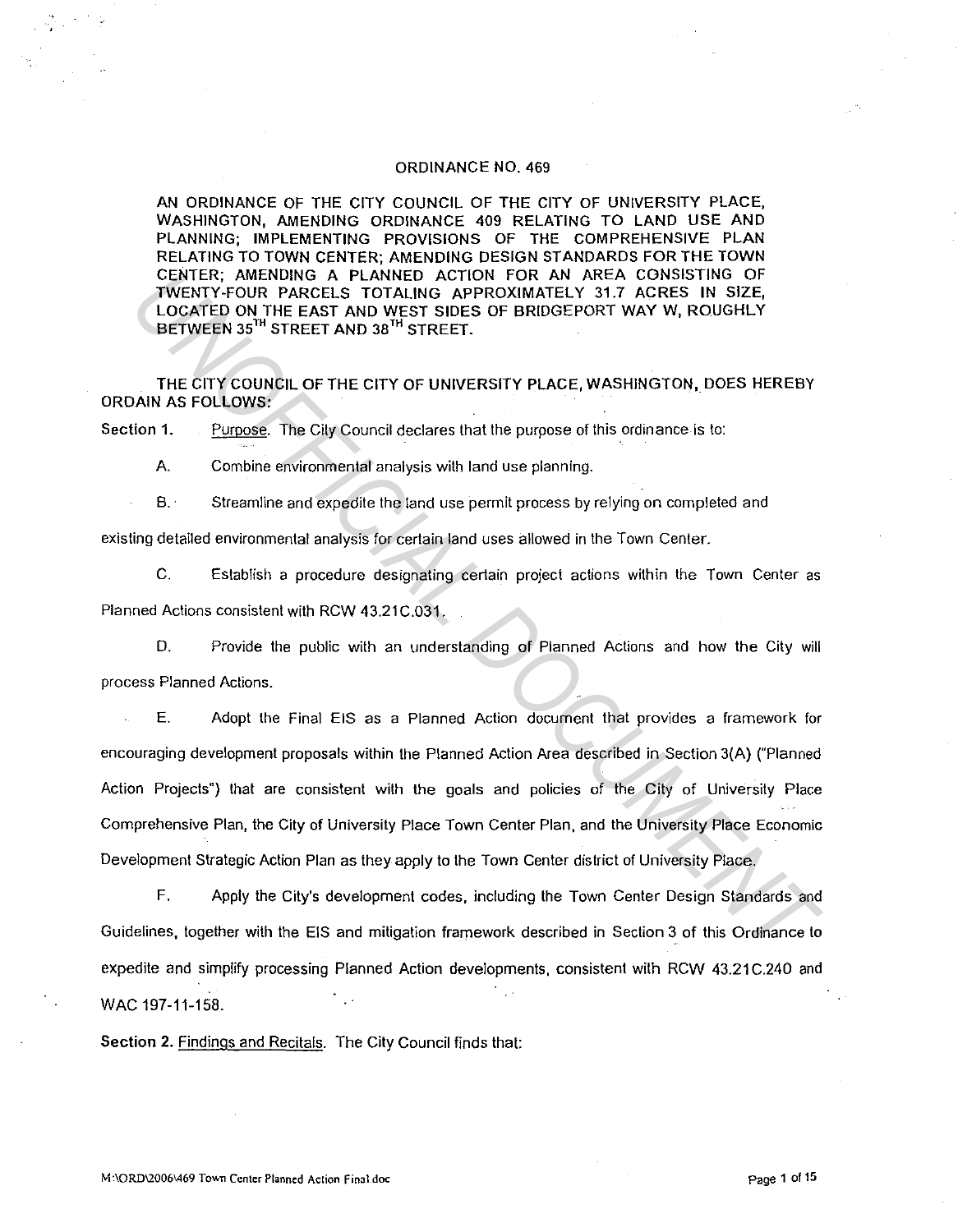#### ORDINANCE NO. 469

AN ORDINANCE OF THE CITY COUNCIL OF THE CITY OF UNIVERSITY PLACE, WASHINGTON, AMENDING ORDINANCE 409 RELATING TO LAND USE AND PLANNING; IMPLEMENTING PROVISIONS OF THE COMPREHENSIVE PLAN RELATING TO TOWN CENTER; AMENDING DESIGN STANDARDS FOR THE TOWN CENTER; AMENDING A PLANNED ACTION FOR AN AREA CONSISTING OF TWENTY-FOUR PARCELS TOTALING APPROXIMATELY 31.7 ACRES IN SIZE, LOCATED ON THE EAST AND WEST SIDES OF BRIDGEPORT WAY W, ROUGHLY BETWEEN 35'" STREET AND 38'" STREET.

THE CITY COUNCIL OF THE CITY OF UNIVERSITY PLACE, WASHINGTON, DOES HEREBY ORDAIN AS FOLLOWS:

Section 1. Purpose. The City Council declares that the purpose of this ordinance is to:

A. Combine environmental analysis with land use planning.

B. Streamline and expedite the land use permit process by relying on completed and

existing detailed environmental analysis for certain land uses allowed in lhe Town Genier.

C. Establish a procedure designating certain project aclions within the Town Center as Planned Actions consistent with RCW 43.21C.031.

D. Provide the public wilh an understanding of Planned Aclions and how the City will process Planned Actions.

E. Adopt the Final EIS as a Planned Action document that provides a framework for encouraging development proposals within the Planned Aclion Area described in Section 3(A) ("Planned Action Projects") that are consistent with the goals and policies of the City of University Place Comprehensive Plan, the City of University Place Town Center Plan, and the University Place Economic Development Strategic Action Plan as they apply to the Town Center district of University Place. CENTER, AMERIDING A PLANNED ACTION FOR AN AREA CONSISTING OF<br> *UNCENTY-FOUR PARCELS TOTALING APPROXIMATELY 31.7 ACRES IN SIZE,*<br>
LOCATED ON THE EAST AND WEST SIDES OF BRIDGEPORT WAY W, ROUGHLY<br> *HECITY COUNS*.<br> *HECITY COU* 

F. Apply the City's development codes, including lhe Town Genier Design Slandards and Guidelines, together with the EIS and mitigation framework described in Section 3 of this Ordinance to expedite and simplify processing Planned Action developments, consistent with RCW 43.21 C.240 and WAC 197-11-158.

Section 2. Findings and Recitals. The City Council finds that: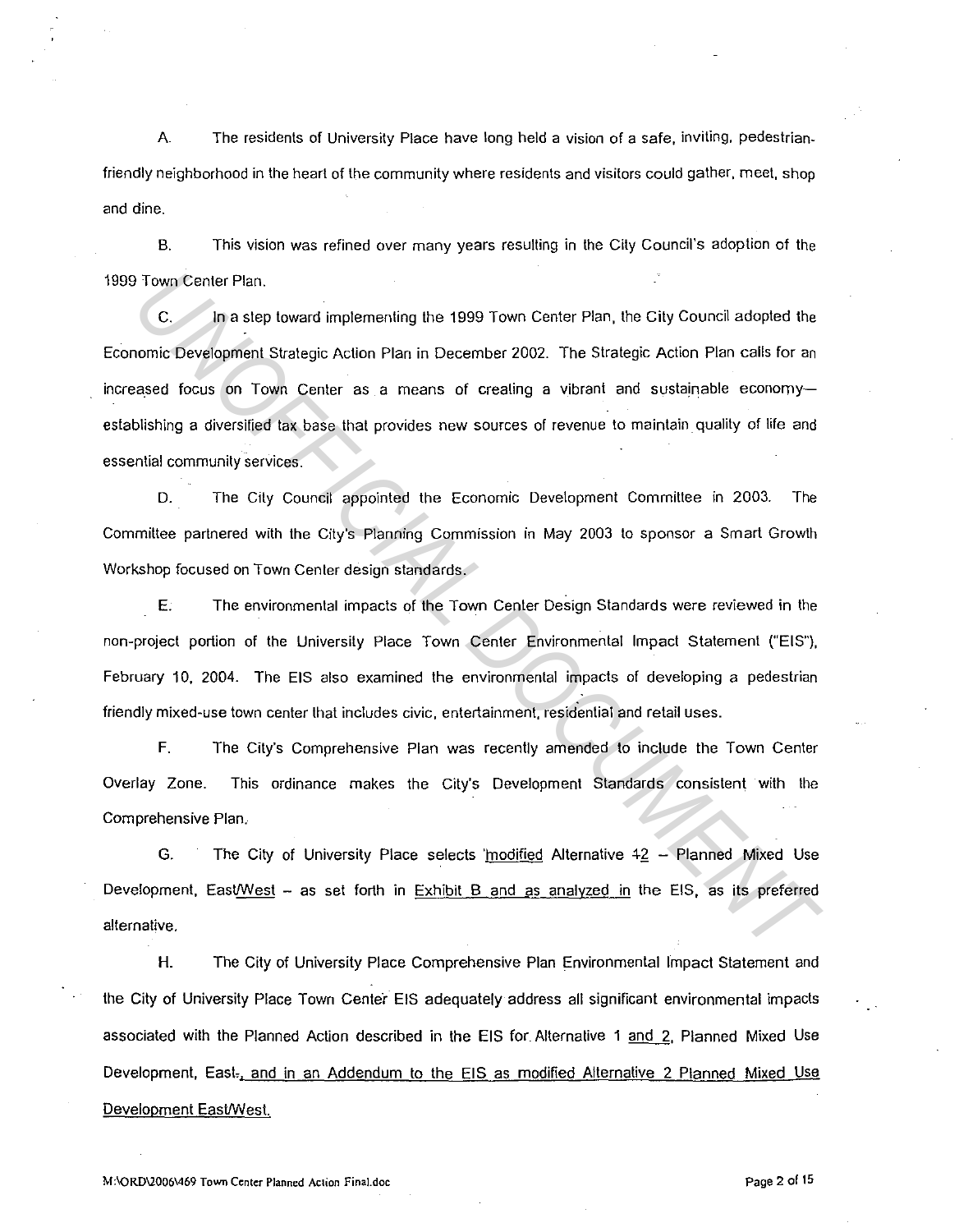A. The residents of University Place have long held a vision of a safe, inviting. pedestrianfriendly neighborhood in the heart of the community where residents and visitors could gather, meet, shop and dine.

B. This vision was refined over many years resulting in the City Council's adoption of the 1999 Town Center Plan.

C. In a step toward implementing the 1999 Town Center Plan. the City Council adopted the Economic Development Strategic Action Plan in December 2002. The Strategic Action Plan calls for an increased focus on Town Center as a means of creating a vibrant and sustainable economyestablishing a diversified tax base that provides new sources of revenue to maintain\_ quality of life and essential community services. **Town Center Plan.**<br> **C.** In a step toward implementing the 1999 Town Center Plan, the City Council adopted the nomic Development Strategic Action Plan in December 2002. The Strategic Action Plan calls for an assed focus o

D. The City Council appointed the Economic Development Committee in 2003. The Committee partnered with the City's Planning Commission in May 2003 to sponsor a Smart Growth Workshop focused on Town Center design standards.

E. The environmental impacts of the Town Center Design Standards were reviewed in the non-project portion of the University Place Town Center Environmental Impact Statement ("EIS"), February 10, 2004. The EIS also examined the environmental impacts of developing a pedestrian friendly mixed-use town center that includes civic, entertainment. residential and retail uses.

F. The City's Comprehensive Plan was recently amended to include the Town Center Overlay Zone. This ordinance makes the City's Development Standards consistent with the Comprehensive Plan.

G. The City of University Place selects 'modified Alternative  $42 -$  Planned Mixed Use Development, EastWest - as set forth in Exhibit  $B$  and as analyzed in the EIS, as its preferred alternative.

H. The City of University Place Comprehensive Plan Environmental Impact Statement and the City of University Place Town Center EIS adequately address all significant environmental impacts associated with the Planned Action described in the EIS for Alternative 1 and 2, Planned Mixed Use Development, East<sub>-1</sub> and in an Addendum to the EIS as modified Alternative 2 Planned Mixed Use Development East/West.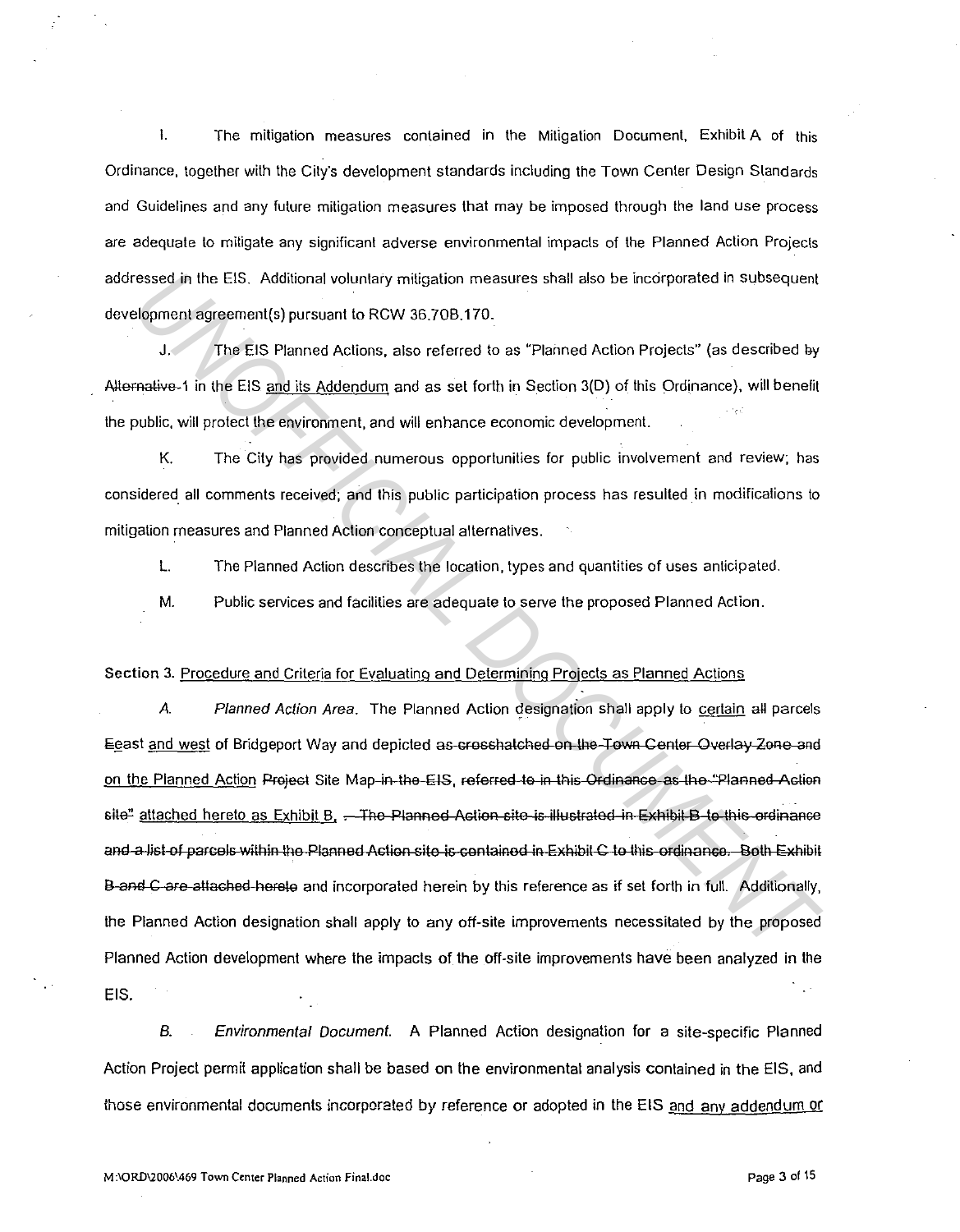I. The mitigation measures contained in the Mitigation Document, Exhibit A of this Ordinance, together with lhe City's development standards including the Town Center Design Standards and Guidelines and any future mitigation measures that may be imposed through the land use process are adequate lo mitigate any significant adverse environmental impacts of the Planned Action Projects addressed in the EIS. Additional voluntary mitigation measures shall also be incorporated in subsequent development agreemenl(s) pursuant to RCW 36.70B.170.

J. The EIS Planned Actions, also referred to as "Planned Action Projects" (as described ey Alternative 1 in the EIS and its Addendum and as set forth in Section  $3(D)$  of this Ordinance), will benefit the public, will protect the environment, and will enhance economic development.

K. The City has provided numerous opportunities for public involvement and review; has considered. all comments received; and this public participation process has resulted in modifications to mitigation measures and Planned Action conceptual alternatives.

L. The Planned Action describes the location, types and quantities of uses anticipated.

M. Public services and facilities are adequate to serve the proposed Planned Action.

# Section 3. Procedure and Criteria for Evaluating and Determining Projects as Planned Actions

*A.* Planned Action Area. The Planned Action designation shall apply to certain all parcels Egast and west of Bridgeport Way and depicted as crosshatched on the Town Center Overlay Zone and on the Planned Action Project Site Map-in-the-EIS, referred to in this Ordinance as the "Planned Action site" attached hereto as Exhibit B, . The Planned Action site is illustrated in Exhibit B to this ordinance and a list of parcels within the Planned Astion site is contained in Exhibit C to this ordinance. Both Exhibit B and C are attached hereto and incorporated herein by this reference as if set forth in full. Additionally, the Planned Action designation shall apply to any off-site improvements necessitated by the proposed Planned Action development where the impacts of the off-site improvements have been analyzed in the EIS. essed in the EIS. Additional voluntary mitigation measures shall also be incorporated in subsequent<br>**Idyment agreement(s)** pursuant to RCW 36.70B.170.<br>
J. The EIS Planned Actions, also referred to as "Planned Action Projec

B. Environmental Document. A Planned Action designation for a site-specific Planned Action Project permit application shall be based on the environmental analysis contained in the EIS, and those environmental documents incorporated by reference or adopted in the EIS and any addendum or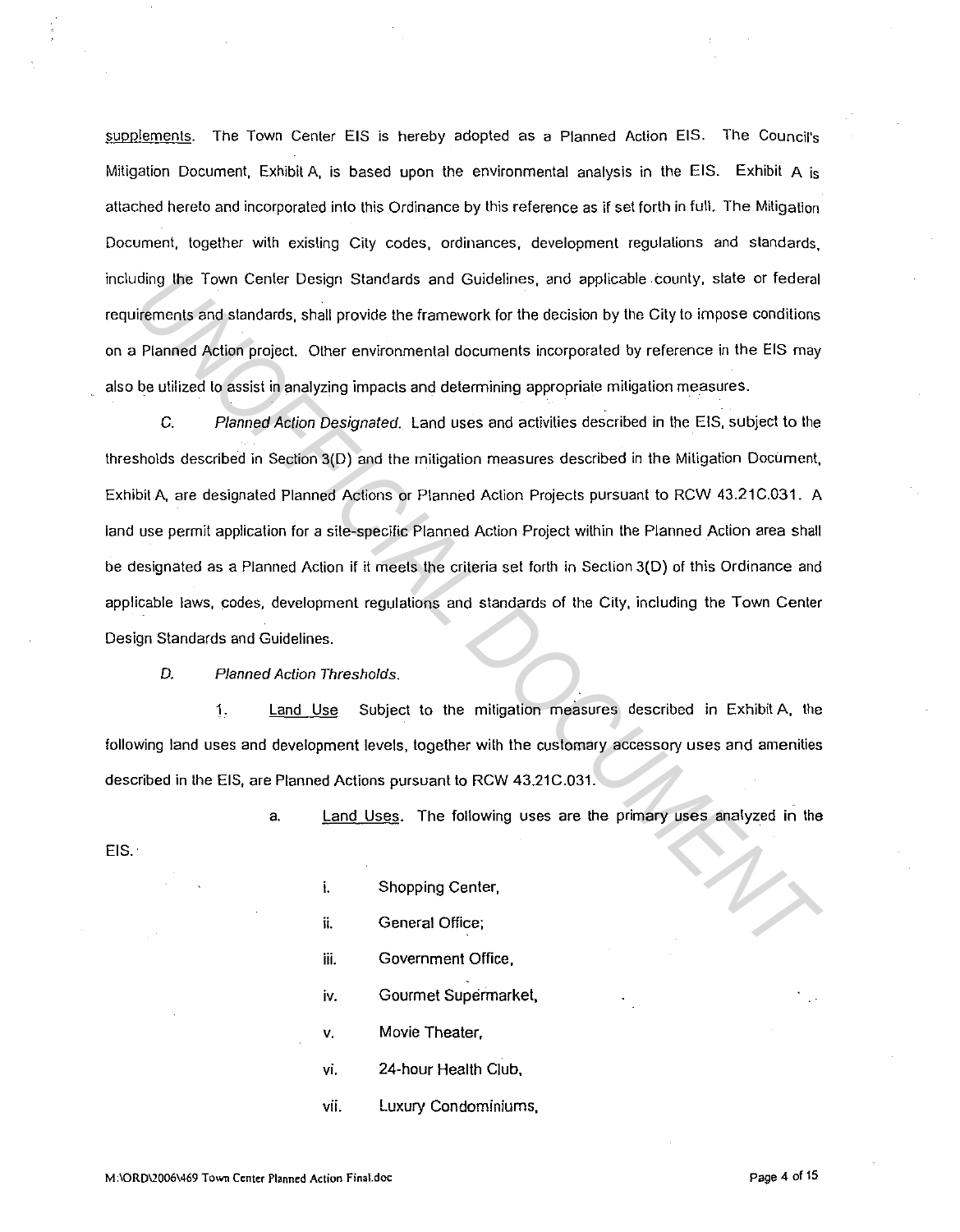supplements. The Town Center EIS is hereby adopted as a Planned Action EIS. The Council's Mitigation Document, Exhibit A, is based upon the environmental analysis in the EIS. Exhibit A is attached hereto and incorporated into this Ordinance by this reference as if set forth in full. The Mitigation Document, together with existing City codes, ordinances, development regulations and standards, including the Town Center Design Standards and Guidelines, and applicable .county, state or federal requirements and standards, shalt provide the framework for the decision by the City to impose conditions on a Planned Action project. Other environmental documents incorporated by reference in the EIS may also be utilized to assist in analyzing impacts and determining appropriate mitigation measures.

C. Planned Action Designated. Land uses and activities described in the EIS, subject to the thresholds described in Section 3(D) and the mitigation measures described in the Mitigation Document, Exhibit A, are designated Planned Actions or Planned Action Projects pursuant to RCW 43.21C.031. A land use permit application for a site-specific Planned Action Project within the Planned Action area shall be designated as a Planned Action if it meets the criteria set forth in Section 3(D) of this Ordinance and applicable Jaws, codes, development regulations and standards of the City, including the Town Center Design Standards and Guidelines. Iding the Town Center Design Standards and Guidelines, and applicable county, state or federal<br>
Information and standards, shall provide the framework for the decision by the City to impose conditions<br> **Planned Action pro** 

0. Planned Action Thresholds.

1. land Use Subject to the mitigation measures described in Exhibit A, the following land uses and development levels, together with the customary accessory uses and amenities described in the EIS, are Planned Actions pursuant to RCW 43.21C.031.

a. Land Uses. The following uses are the primary uses analyzed in the

EIS.

- i. Shopping Center, ii. General Office; iii. Government Office, **iv.** Gourmet Supermarket, V. Movie Theater, **vi.** 24-hour Health Club,
- vii. Luxury Condominiums,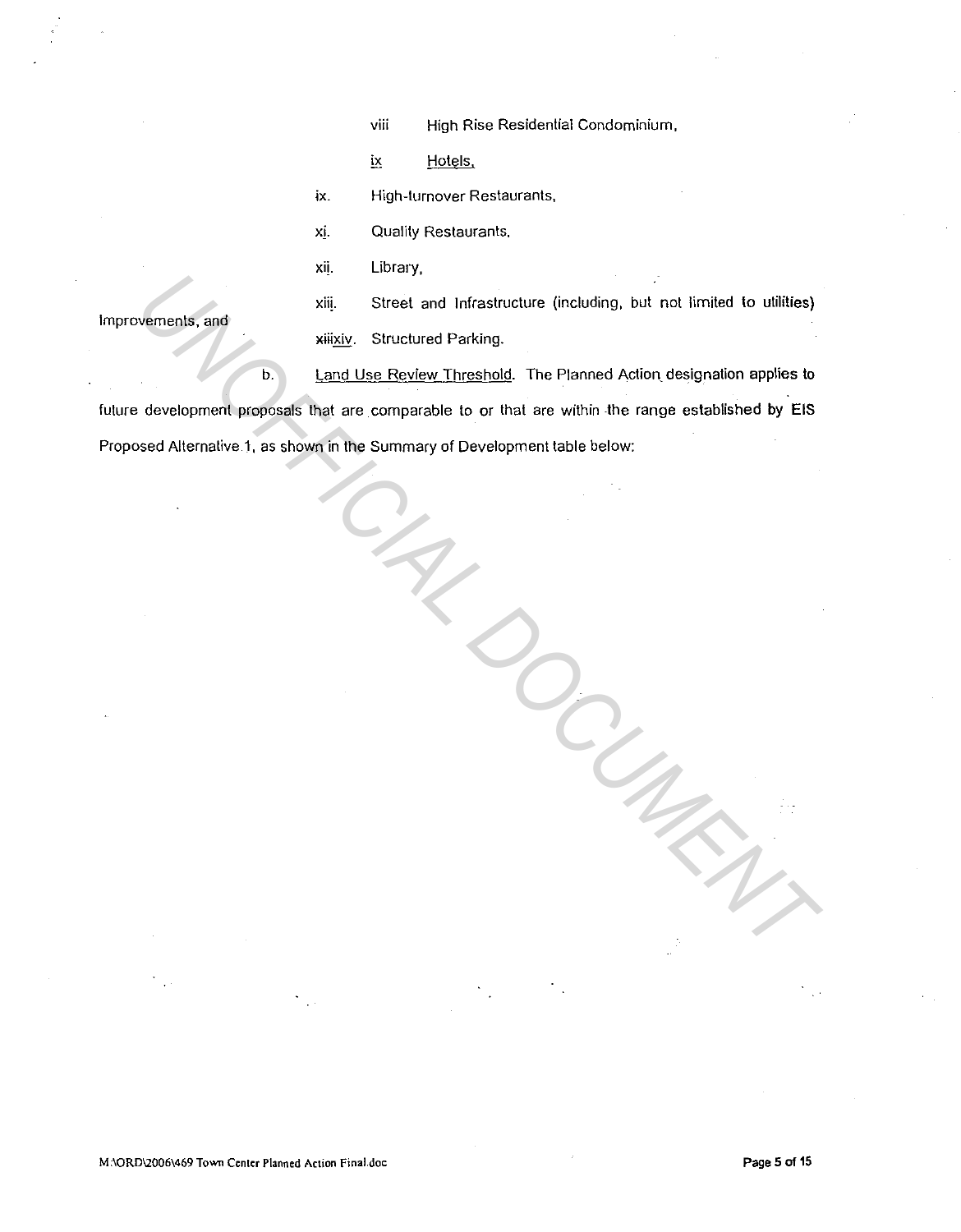viii High Rise Residential Condominium,

ix Hotels,

ix. High-turnover Restaurants,

xj. Quality Restaurants.

xi!. Library,

Improvements, and

xii!. Street and Infrastructure (including, but not limited to utilities) xiixiv. Structured Parking.

b. Land Use Review Threshold. The Planned Action designation applies to future development proposals that are comparable to or that are within the range established by **EIS**  Proposed Alternative 1, as shown in the Summary of Development table below: Wernests, and<br>
WEREL Street and Infrastructure (including, but not limited to utilities)<br>
UNIFICIAL DEVELOPMENT<br>
UNIFICIAL DEVELOPMENT DEPENDENT TO A CONSIDER DO PRIMER DE STAGE REVENUE OF THE AREA WITHIN the range establi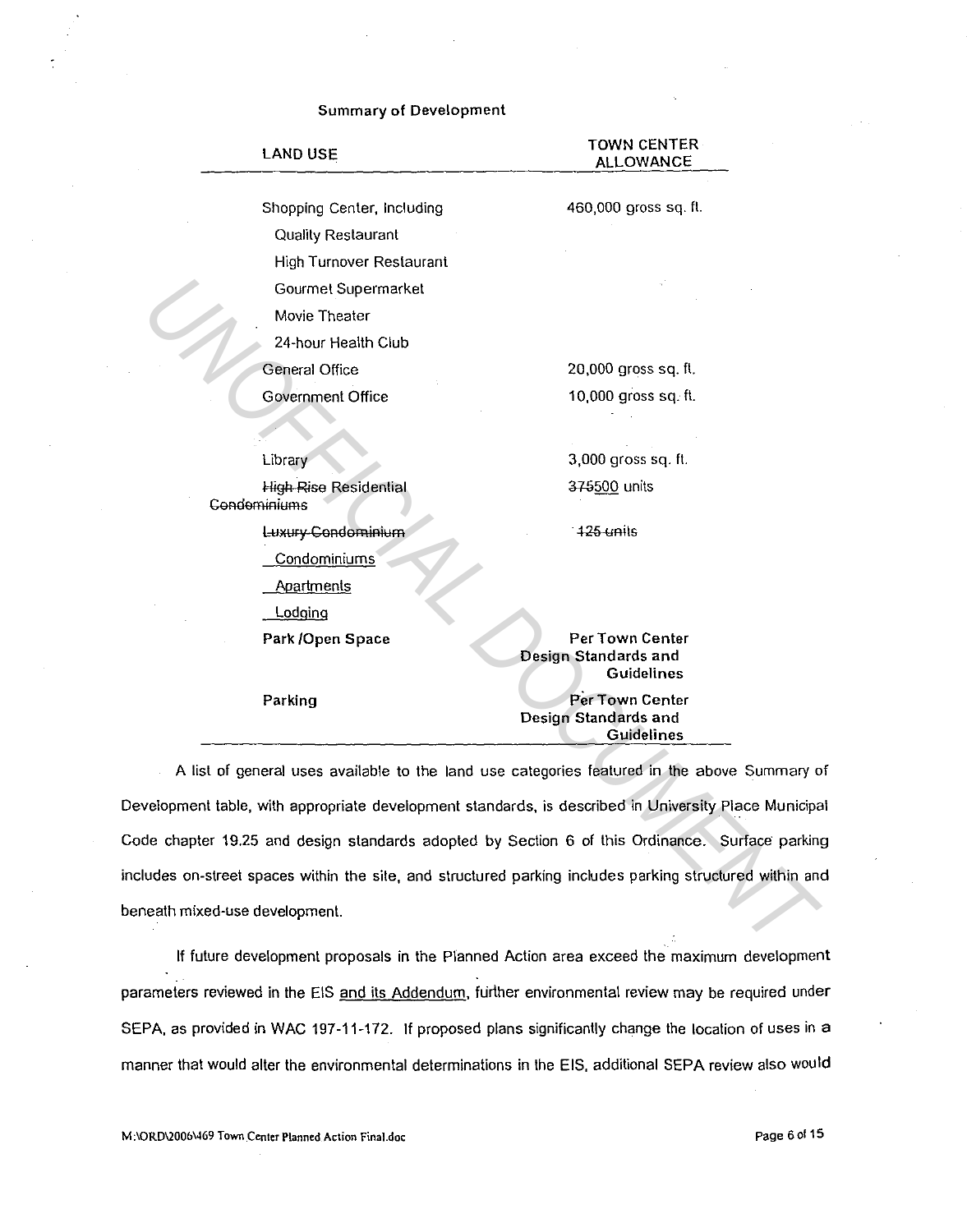| <b>LAND USE</b>                              | TOWN CENTER-<br><b>ALLOWANCE</b>                                                                    |
|----------------------------------------------|-----------------------------------------------------------------------------------------------------|
| Shopping Center, Including                   | 460,000 gross sq. ft.                                                                               |
| Quality Restaurant                           |                                                                                                     |
| <b>High Turnover Restaurant</b>              |                                                                                                     |
| Gourmet Supermarket                          |                                                                                                     |
| Movie Theater                                |                                                                                                     |
| 24-hour Health Club                          |                                                                                                     |
| <b>General Office</b>                        | 20,000 gross sq. ft.                                                                                |
| <b>Government Office</b>                     | 10,000 gross sq. ft.                                                                                |
|                                              |                                                                                                     |
| Library                                      | 3,000 gross sq. ft.                                                                                 |
| <b>High Rise Residential</b><br>Condominiums | 375500 units                                                                                        |
| Luxury Condominium                           | 125 units                                                                                           |
| Condominiums                                 |                                                                                                     |
| Apartments                                   |                                                                                                     |
| <b>Lodging</b>                               |                                                                                                     |
| Park /Open Space                             | <b>Per Town Center</b><br>Design Standards and<br>Guidelines                                        |
| Parking                                      | Per Town Center<br>Design Standards and<br>Guidelines                                               |
|                                              | A list of general uses available to the land use categories featured in the above Summary o         |
|                                              | velopment table, with appropriate development standards, is described in University Place Municipa  |
|                                              | de chapter 19.25 and design standards adopted by Section 6 of this Ordinance. Surface parking       |
|                                              | udes on-street spaces within the site, and structured parking includes parking structured within an |
| eath mixed-use development.                  |                                                                                                     |
|                                              |                                                                                                     |

Summary of Development

# A list of general uses available to the land use categories featured in the above Summary of Development table, with appropriate development standards, is described in University Place Municipal Code chapter 19.25 and design standards adopted by Section 6 of this Ordinance. Surface parking includes on-street spaces within the site, and structured parking includes parking structured within and beneath mixed-use development.

If future development proposals in the Planned Action area exceed the maximum development parameters reviewed in the EIS and its Addendum, further environmental review may be required under SEPA, as provided in WAC 197-11-172. If proposed plans significantly change the location of uses in a manner that would alter the environmental determinations in the EIS, additional SEPA review also would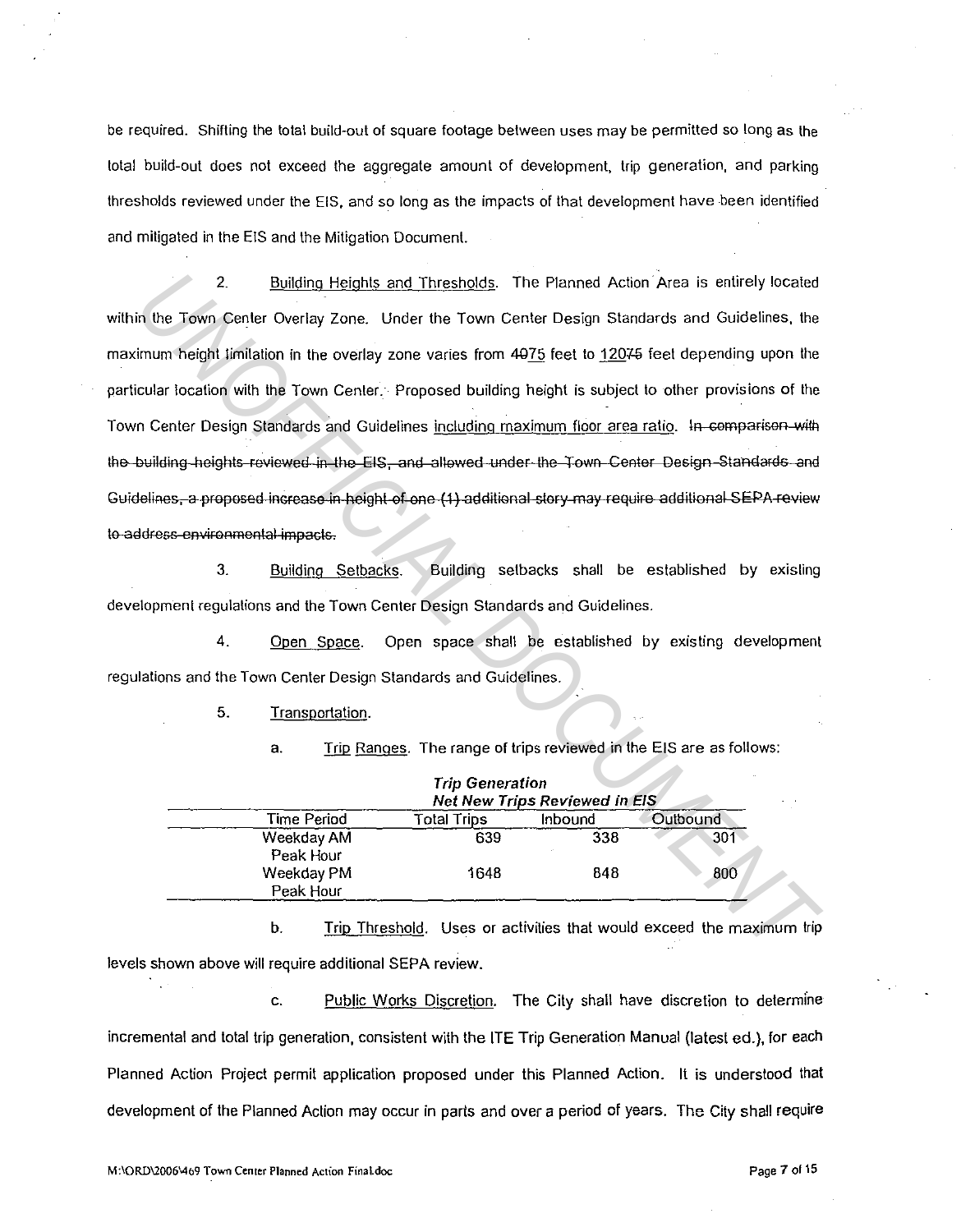be required. Shifting the total build-out of square footage between uses may be permitted so long as the total build-out does not exceed the aggregate amount of development, trip generation, and parking thresholds reviewed under the EIS, and so long as the impacts of that development have been identified and mitigated in the EIS and the Mitigation Document.

2. Building Heights and Thresholds. The Planned Action· Area is entirely located within the Town Center Overlay Zone. Under the Town Center Design Standards and Guidelines, the maximum height limitation in the overlay zone varies from 4075 feet to 12075 feet depending upon the particular location with the Town Center. Proposed building height is subject to other provisions of the Town Center Design Standards and Guidelines including maximum floor area ratio. In comparison with to-address environmental impacts. 2. <u>Building Heights and Thresholds</u>. The Planned Action Area is entirely located<br>
In the Town Center Overlay Zone. Under the Town Center Design Standards and Guidelines, the<br>
Imm height limitation in the overlay zone var

3. Building Setbacks. Building setbacks shall be established by exisling development regulations and the Town Center Design Standards and Guidelines.

4. Open Space. Open space shall be established by existing development regulations and the Town Center Design Standards and Guidelines.

5. Transportation.

a. Trip Ranges. The range of trips reviewed in the EIS are as follows:

|                         | <b>Trip Generation</b><br><b>Net New Trips Reviewed in EIS</b> |         |          |  |  |
|-------------------------|----------------------------------------------------------------|---------|----------|--|--|
| Time Period             | <b>Total Trips</b>                                             | Inbound | Outbound |  |  |
| Weekday AM<br>Peak Hour | 639                                                            | 338     | 301      |  |  |
| Weekday PM<br>Peak Hour | 1648                                                           | 848     | 800      |  |  |

b. Trip Threshold. Uses or activities that would exceed the maximum trip levels shown above will require additional SEPA review.

c. Public Works Discretion. The City shall have discretion to determine incremental and total trip generation, consistent with the ITE Trip Generation Manual {latest ed.), for each Planned Action Project permit application proposed under this Planned Action. It is understood that development of the Planned Action may occur in parts and over a period of years. The City shall require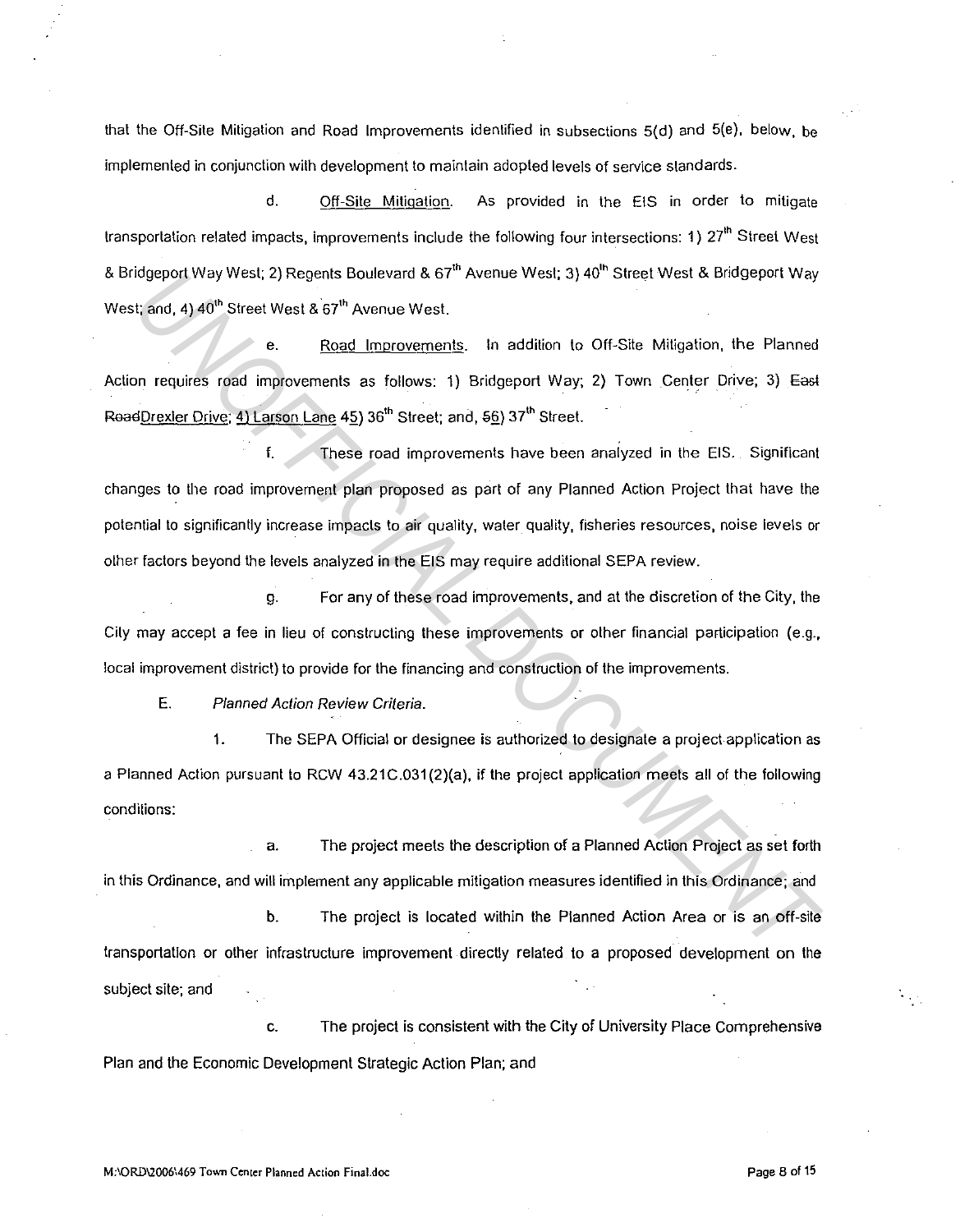that the Off-Site Mitigation and Road Improvements identified in subsections 5(d) and 5(e), below, be implemented in conjunction with development to maintain adopted levels of service standards.

d. Off-Site Mitigation. As provided in the EIS in order to mitigate transportation related impacts, improvements include the following four intersections: 1) 27'h Street West & Bridgeport Way West; 2) Regents Boulevard & 67<sup>th</sup> Avenue West; 3) 40<sup>th</sup> Street West & Bridgeport Way West; and, 4) 40<sup>th</sup> Street West & 67<sup>th</sup> Avenue West.

e. Road Improvements. In addition to Off-Site Mitigation, the Planned Action requires road improvements as follows: 1) Bridgeport Way; 2) Town Center Drive; 3) East Read<u>Drexler Drive; 4) Larson Lane</u> 45) 36<sup>th</sup> Street; and, 5<u>6</u>) 37<sup>th</sup> Street.

f. These road improvements have been analyzed in the EIS. Significant changes to the road improvement plan proposed as part of any Planned Action Project that have the potential to significantly increase impacts to air quality, water quality, fisheries resources, noise levels or other factors beyond the levels analyzed in the EIS may require additional SEPA review. *UNOFFICIAL DOCUMENT*

g. For any of these road improvements, and at the discretion of the City, the City may accept a fee in lieu of constructing these improvements or other financial participation (e.g., local improvement district) to provide for the financing and construction of the improvements.

E. Planned Action Review Criteria.

1. The SEPA Official or designee is authorized to designate a project application as a Planned Action pursuant to RCW 43.21 C.031 (2)(a), if the project application meets all of the following conditions:

a. The project meets the description of a Planned Action Project as set forth in this Ordinance, and will implement any applicable mitigation measures identified in this Ordinance; and b. The project is located within the Planned Action Area or is an off-site transportation or other infrastructure improvement directly related to a proposed development on the subject site; and

c. The project is consistent with the City of University Place Comprehensive Plan and the Economic Development Strategic Action Plan; and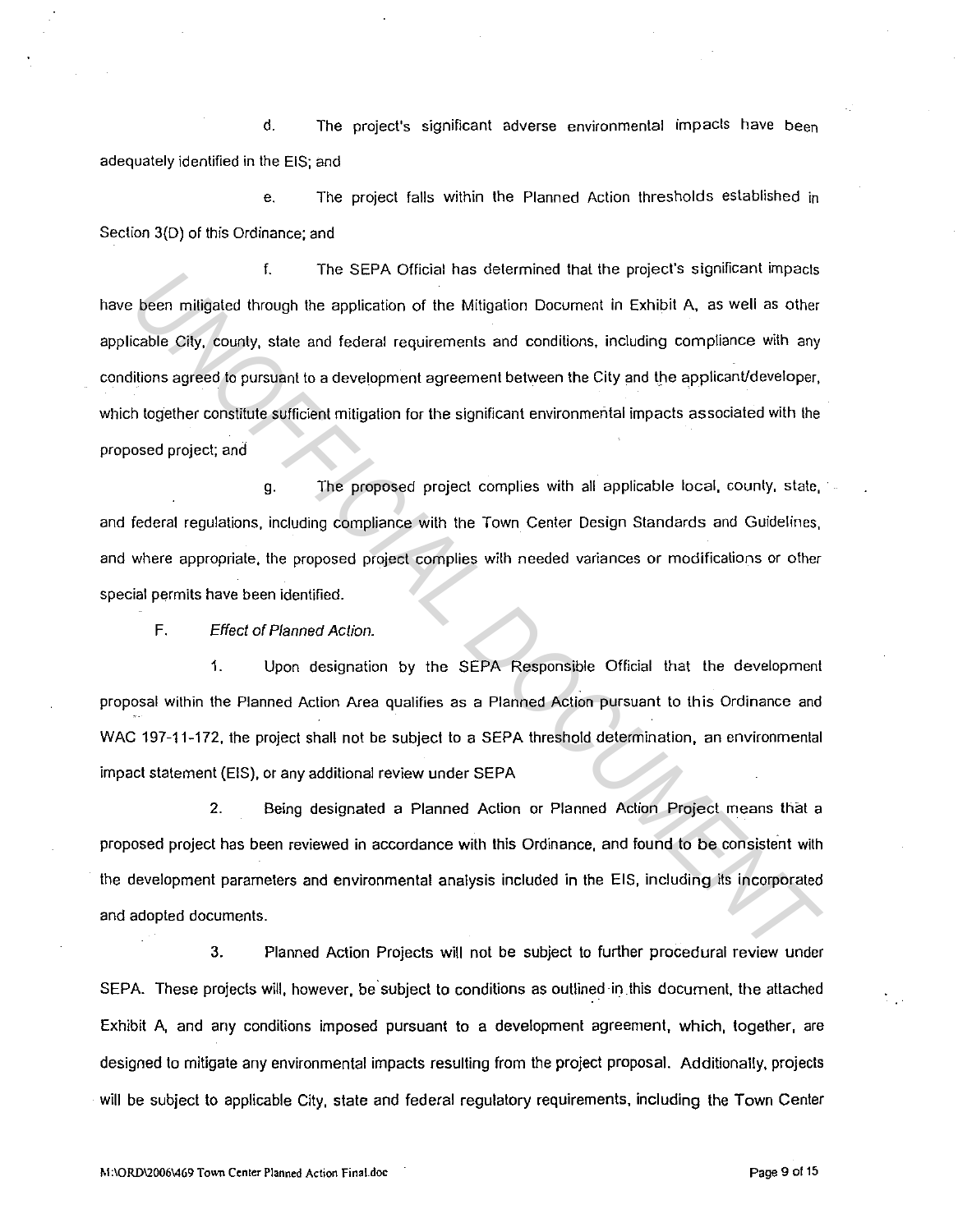d. The project's significant adverse environmental impacts have been adequately identified in the EIS; and

e. The project falls within the Planned Action thresholds established in Section 3(D) of this Ordinance; and

f. The SEPA Official has determined that the project's significant impacts have been mitigated through the application of the Mitigation Document in Exhibit A, as well as other applicable City, county, state and federal requirements and conditions, including compliance with any conditions agreed to pursuant to a development agreement between the City and the applicant/developer, which together constitute sufficient mitigation for the significant environmental impacts associated with the proposed project; and <sup>1</sup> In Ser X Official and selection for the Minigalion Document in Exhibit A, as well as other<br>
Each compty, state and federal requirements and conditions, including compliance with any<br>
intions agreed to pursuant to a dev

g. The proposed project complies with all applicable local, county, state, · and federal regulations, including compliance with the Town Center Design Standards and Guidelines, and where appropriate, the proposed project complies with needed variances or modifications or olher special permits have been identified.

F. Effect of Planned Action.

1. Upon designation by the SEPA Responsible Official that the development proposal within the Planned Action Area qualifies as a Planned Action pursuant to this Ordinance and WAC 197-11-172, the project shall not be subject to a SEPA threshold determination, an environmental impact statement {EIS), or any additional review under SEPA

2. Being designated a Planned Action or Planned Action Project means that a proposed project has been reviewed in accordance with this Ordinance, and found to be consistent with the development parameters and environmental analysis included in the EIS, including ils incorporated and adopted documents.

3. Planned Action Projects will not be subject to further procedural review under SEPA. These projects will, however, be subject to conditions as outlined in this document, the attached Exhibit A, and any conditions imposed pursuant to a development agreement, which, together, are designed to mitigate any environmental impacts resulting from the project proposal. Additionally, projects will be subject to applicable City, state and federal regulatory requirements, including the Town Center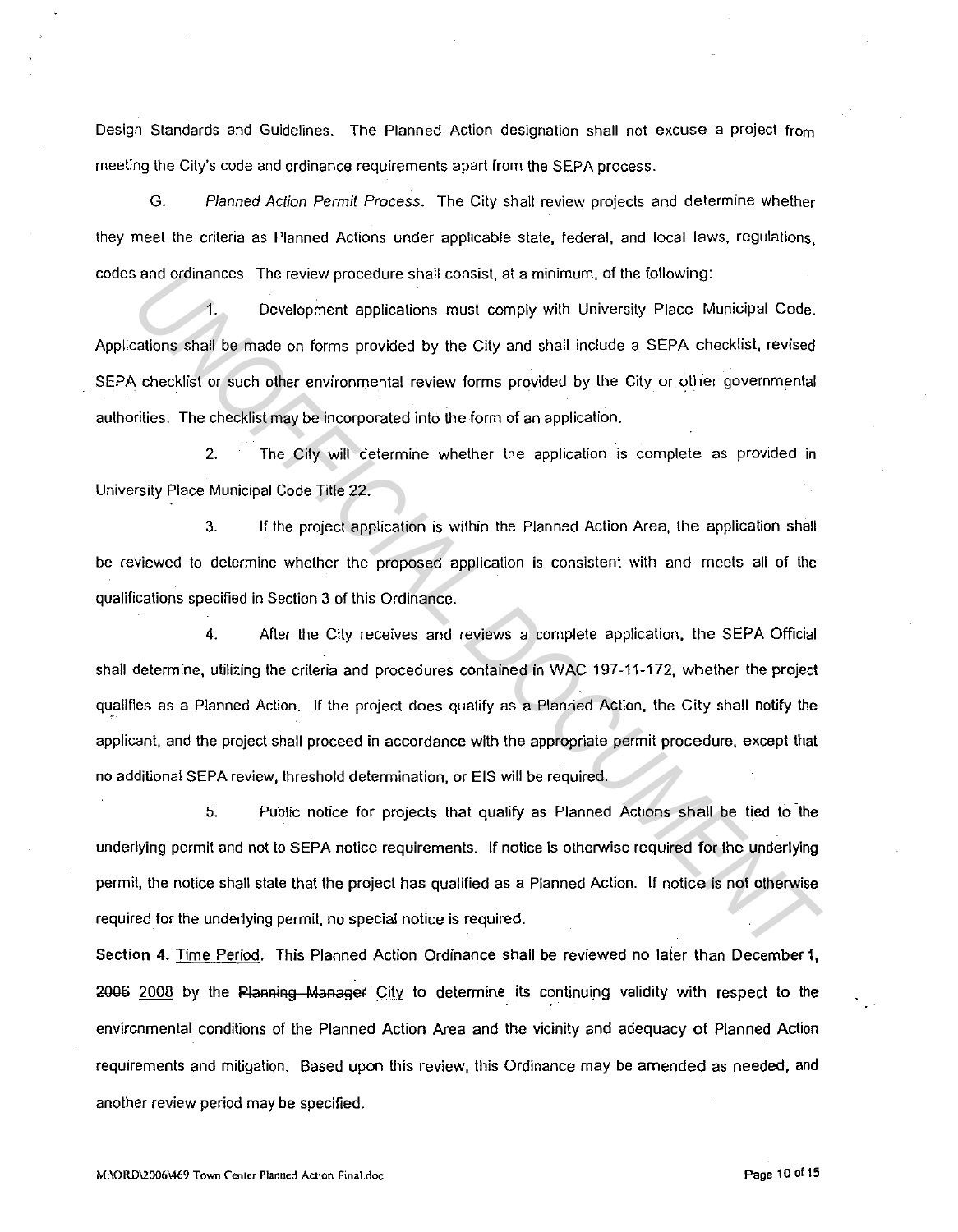Design Standards and Guidelines. The Planned Action designation shall not excuse a project from meeting the City's code and ordinance requirements apart from the SEPA process.

G. Planned Action Permit Process. The City shall review projects and determine whether they meet the criteria as Planned Actions under applicable state, Federal, and local laws, regulations, codes and ordinances. The review procedure shall consist, at a minimum, of the following:

1. Development applications must comply with University Place Municipal Code. Applications shall be made on forms provided by the City and shall include a SEPA checklist, revised SEPA checklist or such other environmental review forms provided by the City or other governmental authorities. The checklist may be incorporated into the form of an application.

2. The City will determine whether the application is complete as provided in University Place Municipal Code Title 22.

3. IF the project application is within the Planned Action Area, the application shall be reviewed to determine whether the proposed application is consistent with and meets all of the qualifications specified in Section 3 of this Ordinance.

4. After the City receives and reviews a complete application, the SEPA Official shall determine, utilizing the criteria and procedures contained in WAC 197-11-172, whether the project qualifies as a Planned Action. If the project does qualify as a Planned Action, the City shall notify the applicant, and the project shall proceed in accordance with the appropriate permit procedure, except that no additional SEPA review, threshold determination, or EIS will be required. and ordinances. The review procedure shall consist, at a minimum, of the following:<br> **The anti-** Development applications must comply with University Place Municipal Code.<br>
Eatlions shall be made on forms provided by the C

5. Public notice for projects that qualify as Planned Actions shall be tied to the underlying permit and not to SEPA notice requirements. If notice is otherwise required for the underlying permit, the notice shall state that the project has qualified as a Planned Action. IF notice is not otherwise required for the underlying permit, no special notice is required.

Section 4. Time Period. This Planned Action Ordinance shall be reviewed no later than December 1, 2006 2008 by the Planning Manager City to determine its continuing validity with respect to the environmental conditions of the Planned Action Area and the vicinity and adequacy of Planned Action requirements and mitigation. Based upon this review, this Ordinance may be amended as needed, and another review period may be specified.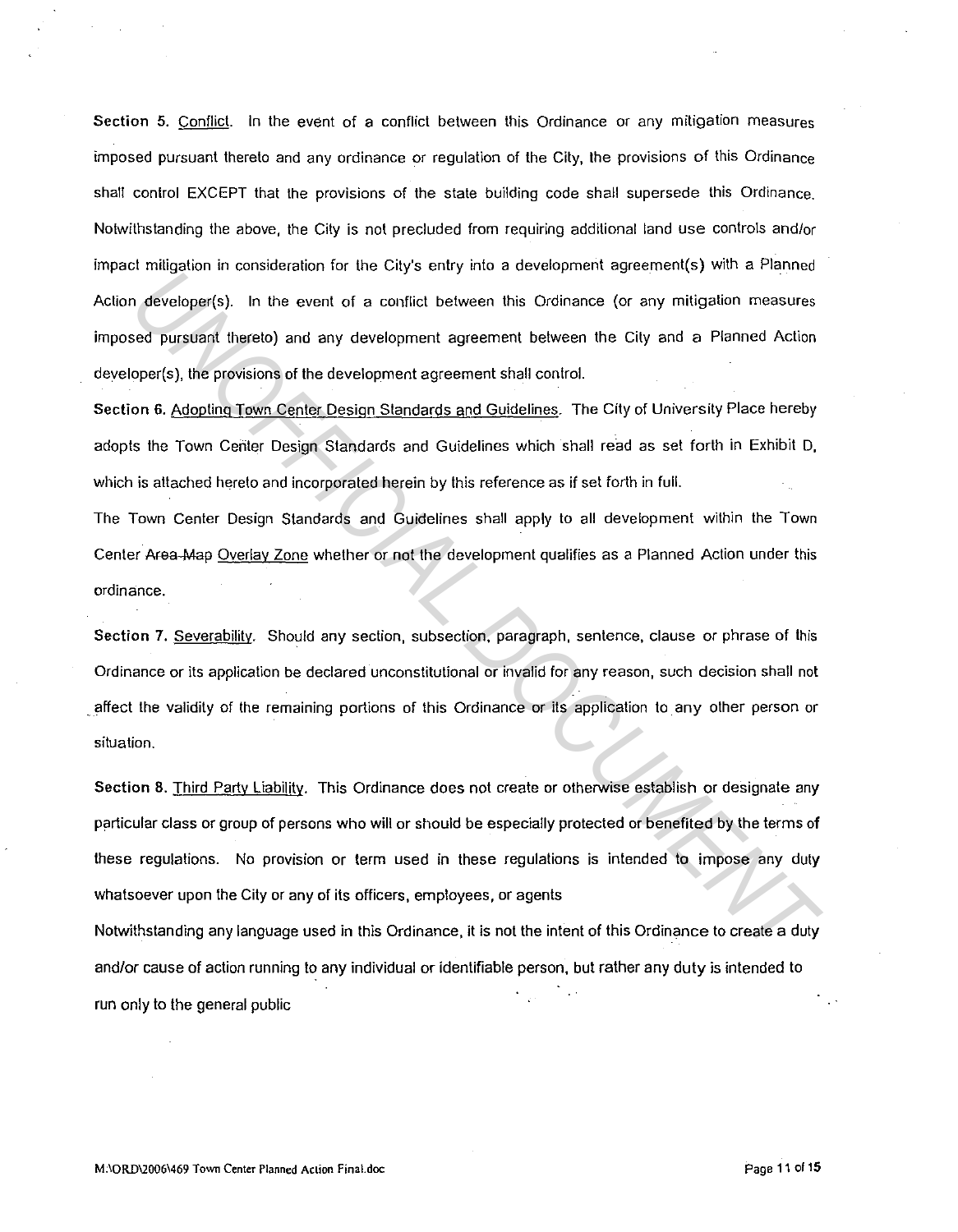Section 5. Conflict. In the event of a conflict between this Ordinance or any mitigation measures imposed pursuant thereto and any ordinance or regulation of the City, the provisions of this Ordinance shall control EXCEPT that the provisions of the state building code shall supersede this Ordinance. Notwithstanding the above, the City is not precluded from requiring additional land use controls and/or impact mitigation in consideration for the City's entry into a development agreement(s) with a Planned Action developer(s). In the event of a conflict between this Ordinance (or any mitigation measures imposed pursuant thereto) and any development agreement between the City and a Planned Action developer(s). the provisions of the development agreement shall control.

Section 6. Adopting Town Center Design Standards and Guidelines. The City of University Place hereby adopts the Town Center Design Standards and Guidelines which shall read as set forth in Exhibit D, which is attached hereto and incorporated herein by this reference as if set forth in full.

The Town Center Design Standards and Guidelines shall apply to all development within the Town Center Afea-Map Overlay Zone whether or not the development qualifies as a Planned Action under this ordinance.

Section 7. Severability. Should any section, subsection, paragraph, sentence, clause or phrase of this Ordinance or its application be declared unconstitutional or invalid for any reason, such decision shall not . affect the validity of the remaining portions of this Ordinance or its application to any other person or situation.

Section 8. Third Party Liability. This Ordinance does not create or otherwise establish or designate any particular class or group of persons who will or should be especially protected or benefited by the terms of these regulations. No provision or term used in these regulations is intended to impose any duty whatsoever upon the City or any of its officers, employees, or agents *Mergeland at Constraint* the Chy 3 club y and constraint the current method of the set of payofficial based pursuant distributed by the constraints of a condition between the City and a Planned Action deal based pursuant

Notwithstanding any language used in this Ordinance, it is not the intent of this Ordinance to create a duty and/or cause of action running to any individual or identifiable person, but rather any duty is intended to run only to the general public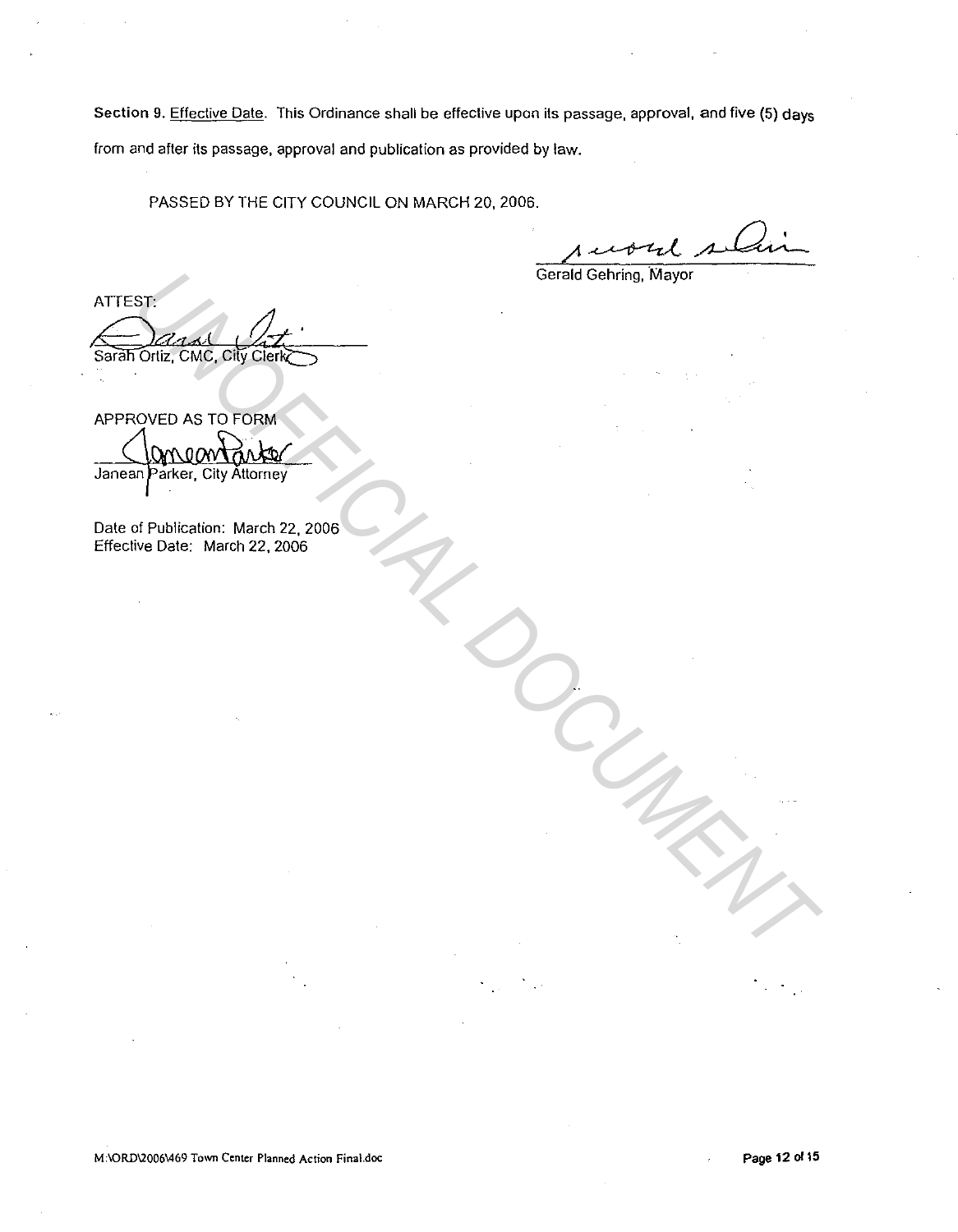Section 9. Effective Date. This Ordinance shall be effective upon its passage, approval, and five (5) days from and after its passage, approval and publication as provided by law.

PASSED BY THE CITY COUNCIL ON MARCH 20, 2006.

puout silin

Gerald Gehring, Mayor

STR<br>
UNICO AS TO FORM<br>
UNICO AS TO FORM<br>
UNICO AND CREATED AND CREATED<br>
OF Publication: March 22, 2006<br>
UP District March 22, 2006<br>
UP District March 22, 2006<br>
UP District March 22, 2006

APPROVED AS TO FORM

Date of Publication: March 22, 2006 Effective Date: March 22, 2006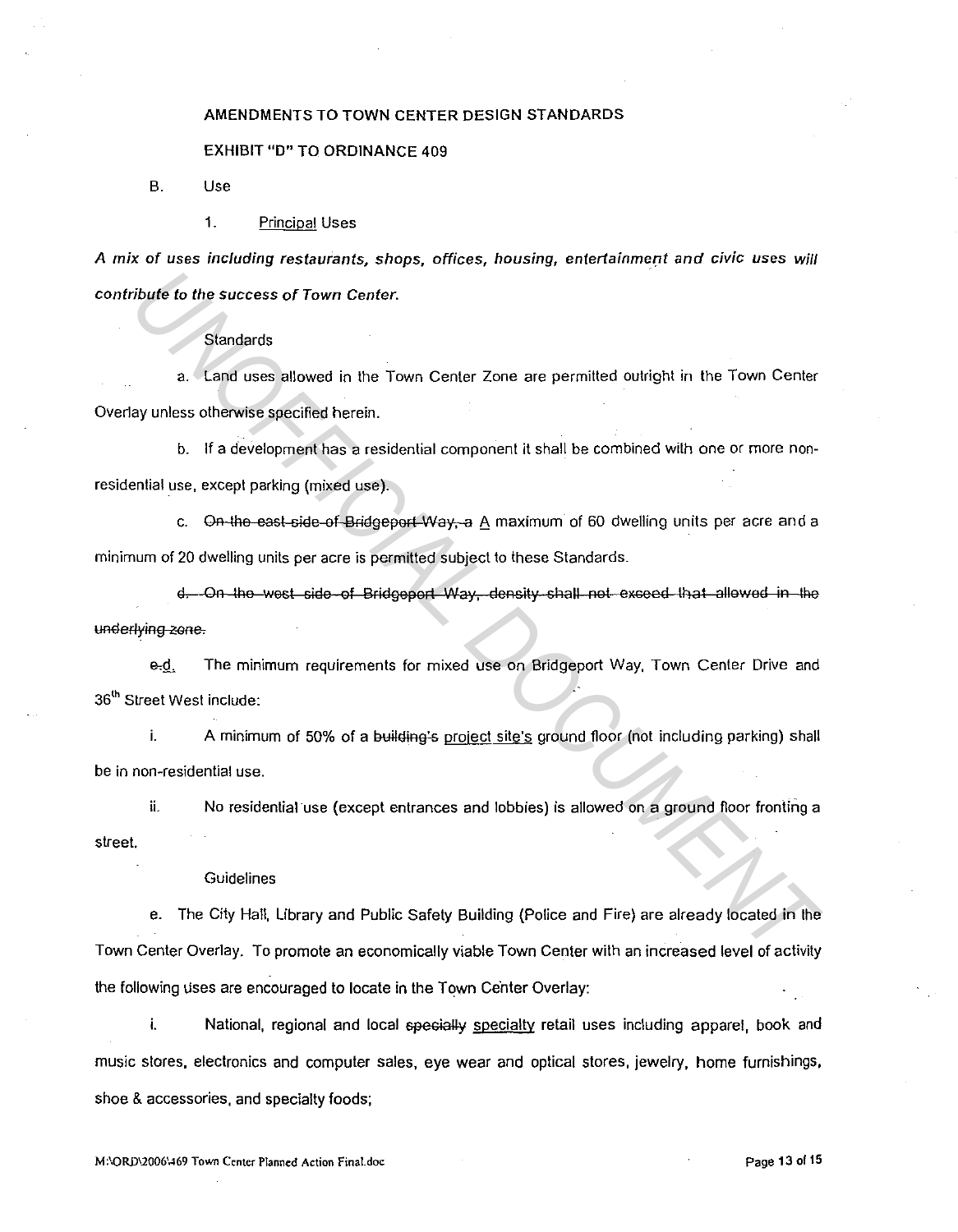# AMENDMENTS TO TOWN CENTER DESIGN STANDARDS

## EXHIBIT "D" TO ORDINANCE 409

B. Use

1. Principal Uses

A mix of uses including restaurants, shops, offices, housing, entertainment and civic uses will contribute to the success of Town Center.

### **Standards**

a. Land uses allowed in the Town Center Zone are permilted outrighl in the Town Genier Overlay unless otherwise specified herein.

b. If a development has a residential component it shall be combined with one or more nonresidential use, except parking (mixed use).

c. On the east side of Bridgeport Way, a A maximum of 60 dwelling units per acre and a minimum of 20 dwelling units per acre is permitted subject to these Standards.

d. On the west side of Bridgeport Way, density shall not exceed that allowed in the underlying zone.

e-d. The minimum requirements for mixed use on Bridgeport Way, Town Center Drive and 36<sup>th</sup> Street West include:

i. A minimum of 50% of a building's project site's ground floor (not including parking) shall be in non-residential use.

ii. No residential use (except entrances and lobbies) is allowed on a ground floor fronting a street.

#### Guidelines

e. The City Hall, Library and Public Safety Building (Police and Fire) are already located in the Town Center Overlay. To promote an economically viable Town Center with an increased level of activily the following uses are encouraged to locate in the Town Center Overlay: **Example 15 and the success of Town Center.**<br>
8. Standards<br>
8. Cand uses allowed in the Town Center Zone are permitted outlight in the Town Center<br>
16 a development has a residential component it shall be combined with one

i. National, regional and local specially specialty retail uses including apparel, book and music slores, electronics and computer sales, eye wear and optical stores, jewelry, home furnishings, shoe & accessories, and specialty foods;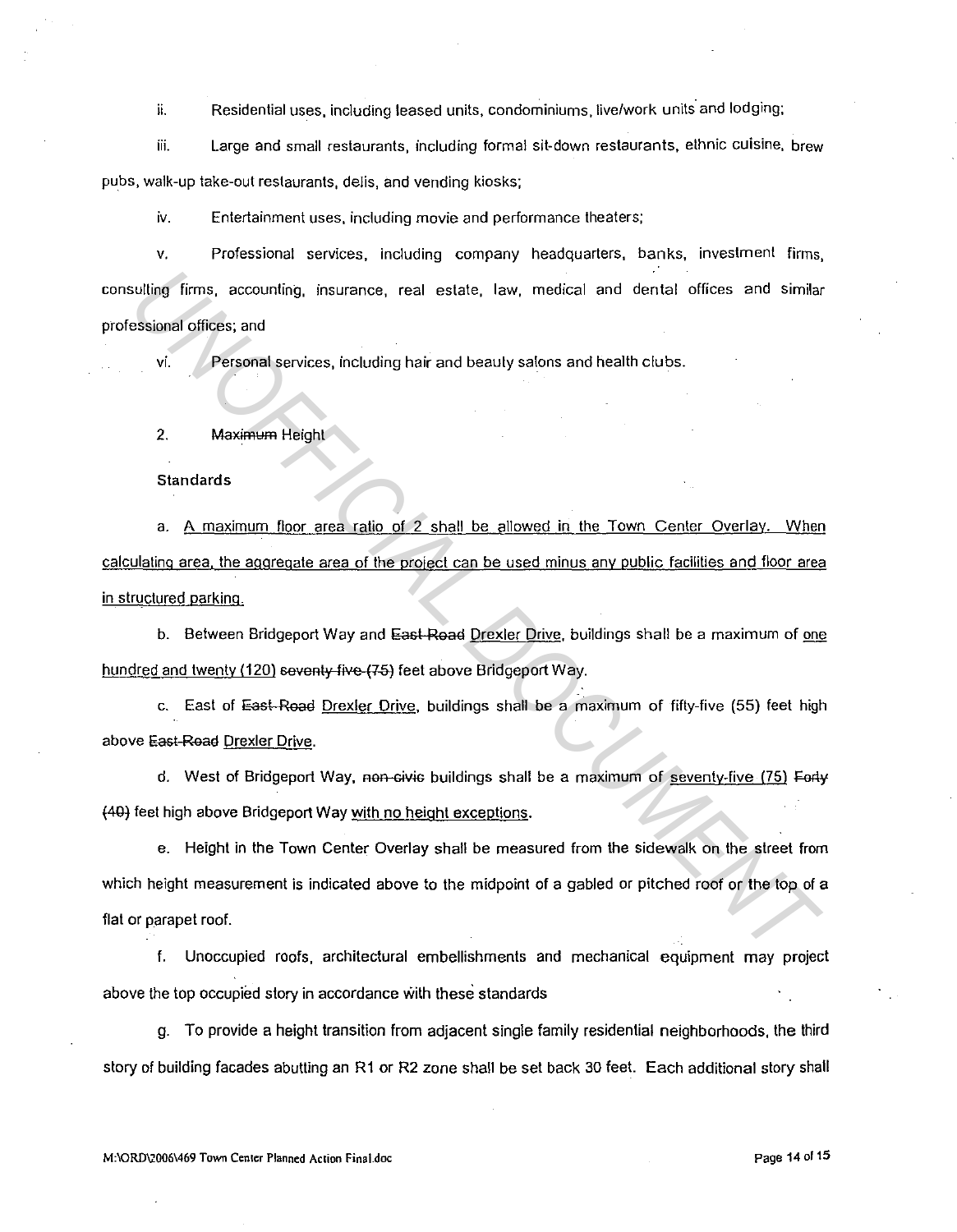ii. Residential uses, including leased units, condominiums, live/work units and lodging;

iii. Large and small restaurants, including formal sit-down restaurants, ethnic cuisine, brew pubs, walk-up take-out restaurants, delis, and vending kiosks;

iv. Entertainment uses, including movie and performance theaters;

v. Professional services, including company headquarters, banks, investment firms, consulting firms, accounting, insurance, real estate, law, medical and dental offices and similar professional offices; and

vi. Personal services, including hair and beauty salons and health clubs.

2. Maximum Height

Standards

a. A maximum floor area ratio of 2 shall be allowed in the Town Center Overlay. When calculating area, the aggregate area of the project can be used minus any public facilities and floor area in structured parking.

b. Between Bridgeport Way and East-Road Drexler Drive, buildings shall be a maximum of one hundred and twenty (120) seventy five (75) feet above Bridgeport Way.

c. East of East-Road Drexler Drive, buildings shall be a maximum of fifty-five (55) feet high above East Road Drexler Drive.

d. West of Bridgeport Way, non-civic buildings shall be a maximum of seventy-five  $(75)$  Forty {40j feet high above Bridgeport Way with no height exceptions.

e. Height in the Town Center Overlay shall be measured from the sidewalk on the street from which height measurement is indicated above lo the midpoint of a gabled or pitched roof or the top of a flat or parapet roof. outling firms, accounting, insurance, real estate, law, medical and dental offices and similar<br>assigned offices; and<br>vi. Personal services, including heir and beauty salons and health clubs.<br>2. Maximum Holght<br>3. A maximum

f. Unoccupied roofs, architectural embellishments and mechanical equipment may project above the top occupied story in accordance with these standards

g. To provide a height transition from adjacent single family residential neighborhoods, the third story of building facades abutting an R1 or R2 zone shall be set back 30 feet. Each additional story shall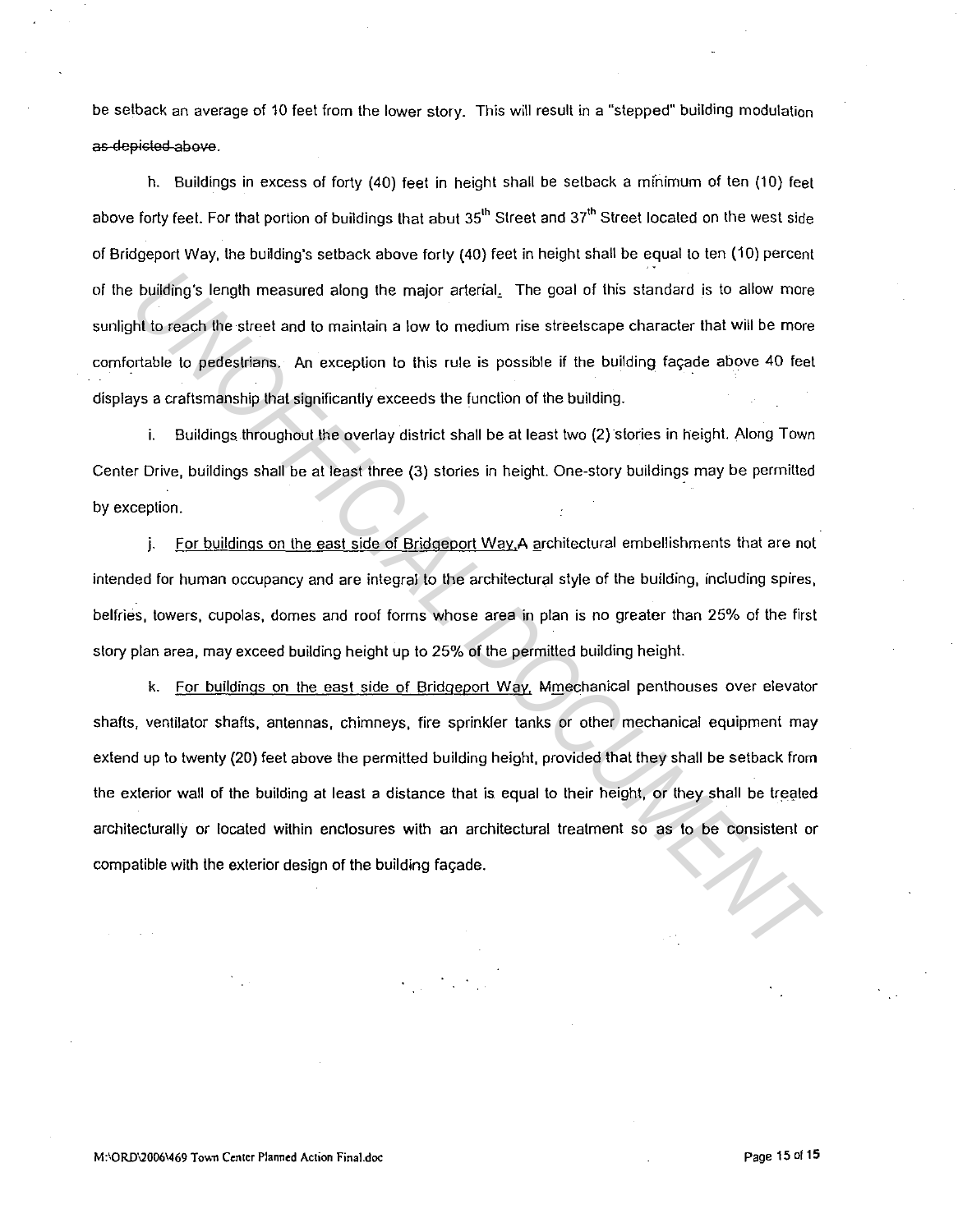be setback an average of 10 feet from the lower story. This will result in a "stepped" building modulation as-depicted above.

h. Buildings in excess of forty (40) feet in height shall be setback a mfnimum of ten (10) feel above forty feet. For that portion of buildings that abut 35<sup>th</sup> Street and 37<sup>th</sup> Street located on the west side of Bridgeport Way, the building's setback above forty (40) feet in height shall be equal to ten (10) percent of the building's length measured along the major arterial. The goal of this standard is to allow more sunlight to reach the street and to maintain a low to medium rise streetscape character that will be more comfortable to pedestrians. An exception to this rule is possible if the building façade above 40 feet displays a craftsmanship that significantly exceeds the function of the building.

i. Buildings throughout the overlay district shall be at least two (2) stories in height. Along Town Center Drive, buildings shall be at least three (3) stories in height. One-story buildings may be permitted by exception.

j. For buildings on the east side of Bridgeport Way.A architectural embellishments that are not intended for human occupancy and are integral to the architectural style of the building, including spires, belfries, towers, cupolas, domes and roof forms whose area in plan is no greater than 25% of the first story plan area, may exceed building height up to 25% of the permitted building height.

k. For buildings on the east side of Bridgeport Way, Mmechanical penthouses over elevator shafts, ventilator shafts, antennas, chimneys, fire sprinkler tanks or other mechanical equipment may extend up to twenty (20) feet above the permitted building height, provided that they shall be setback from the exterior wall of the building at least a distance that is equal to their height, or they shall be treated architecturally or located within enclosures with an architectural treatment so as to be consistent or compatible with the exterior design of the building fayade. **UNIMITY Standard End only the major arterial.** The goal of this standard is to allow more that or reach the street and to maintain a low to medium rise streetscape character that will be more ortable to pedestrians. An ex

M:\ORD\2006\469 Town Center Planned Action Final.doc **Page 15of 15** Page 15 of 15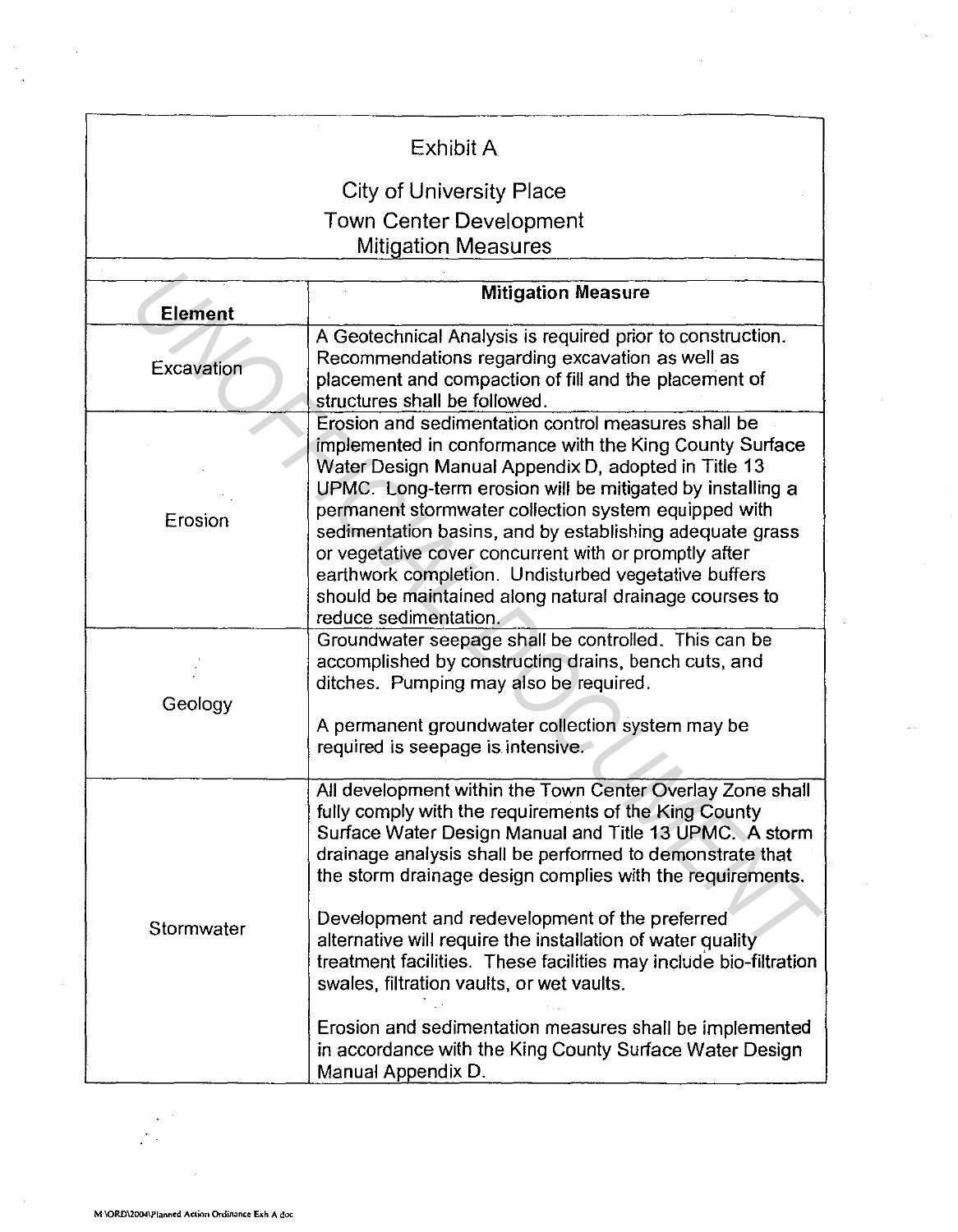| Exhibit A                       |                                                                                                                                                                                                                                                                                                                                                                                                                                                                                                                                                                                                                                                                                     |  |  |  |
|---------------------------------|-------------------------------------------------------------------------------------------------------------------------------------------------------------------------------------------------------------------------------------------------------------------------------------------------------------------------------------------------------------------------------------------------------------------------------------------------------------------------------------------------------------------------------------------------------------------------------------------------------------------------------------------------------------------------------------|--|--|--|
| <b>City of University Place</b> |                                                                                                                                                                                                                                                                                                                                                                                                                                                                                                                                                                                                                                                                                     |  |  |  |
| <b>Town Center Development</b>  |                                                                                                                                                                                                                                                                                                                                                                                                                                                                                                                                                                                                                                                                                     |  |  |  |
| <b>Mitigation Measures</b>      |                                                                                                                                                                                                                                                                                                                                                                                                                                                                                                                                                                                                                                                                                     |  |  |  |
|                                 |                                                                                                                                                                                                                                                                                                                                                                                                                                                                                                                                                                                                                                                                                     |  |  |  |
| <b>Element</b>                  | <b>Mitigation Measure</b>                                                                                                                                                                                                                                                                                                                                                                                                                                                                                                                                                                                                                                                           |  |  |  |
| <b>Excavation</b>               | A Geotechnical Analysis is required prior to construction.<br>Recommendations regarding excavation as well as<br>placement and compaction of fill and the placement of<br>structures shall be followed.                                                                                                                                                                                                                                                                                                                                                                                                                                                                             |  |  |  |
| Erosion                         | Erosion and sedimentation control measures shall be<br>implemented in conformance with the King County Surface<br>Water Design Manual Appendix D, adopted in Title 13<br>UPMC. Long-term erosion will be mitigated by installing a<br>permanent stormwater collection system equipped with<br>sedimentation basins, and by establishing adequate grass<br>or vegetative cover concurrent with or promptly after<br>earthwork completion. Undisturbed vegetative buffers<br>should be maintained along natural drainage courses to<br>reduce sedimentation.                                                                                                                          |  |  |  |
| Geology                         | Groundwater seepage shall be controlled. This can be<br>accomplished by constructing drains, bench cuts, and<br>ditches. Pumping may also be required.<br>A permanent groundwater collection system may be<br>required is seepage is intensive.                                                                                                                                                                                                                                                                                                                                                                                                                                     |  |  |  |
| Stormwater                      | All development within the Town Center Overlay Zone shall<br>fully comply with the requirements of the King County<br>Surface Water Design Manual and Title 13 UPMC. A storm<br>drainage analysis shall be performed to demonstrate that<br>the storm drainage design complies with the requirements.<br>Development and redevelopment of the preferred<br>alternative will require the installation of water quality<br>treatment facilities. These facilities may include bio-filtration<br>swales, filtration vaults, or wet vaults.<br>Erosion and sedimentation measures shall be implemented<br>in accordance with the King County Surface Water Design<br>Manual Appendix D. |  |  |  |

 $\mathbf{r}$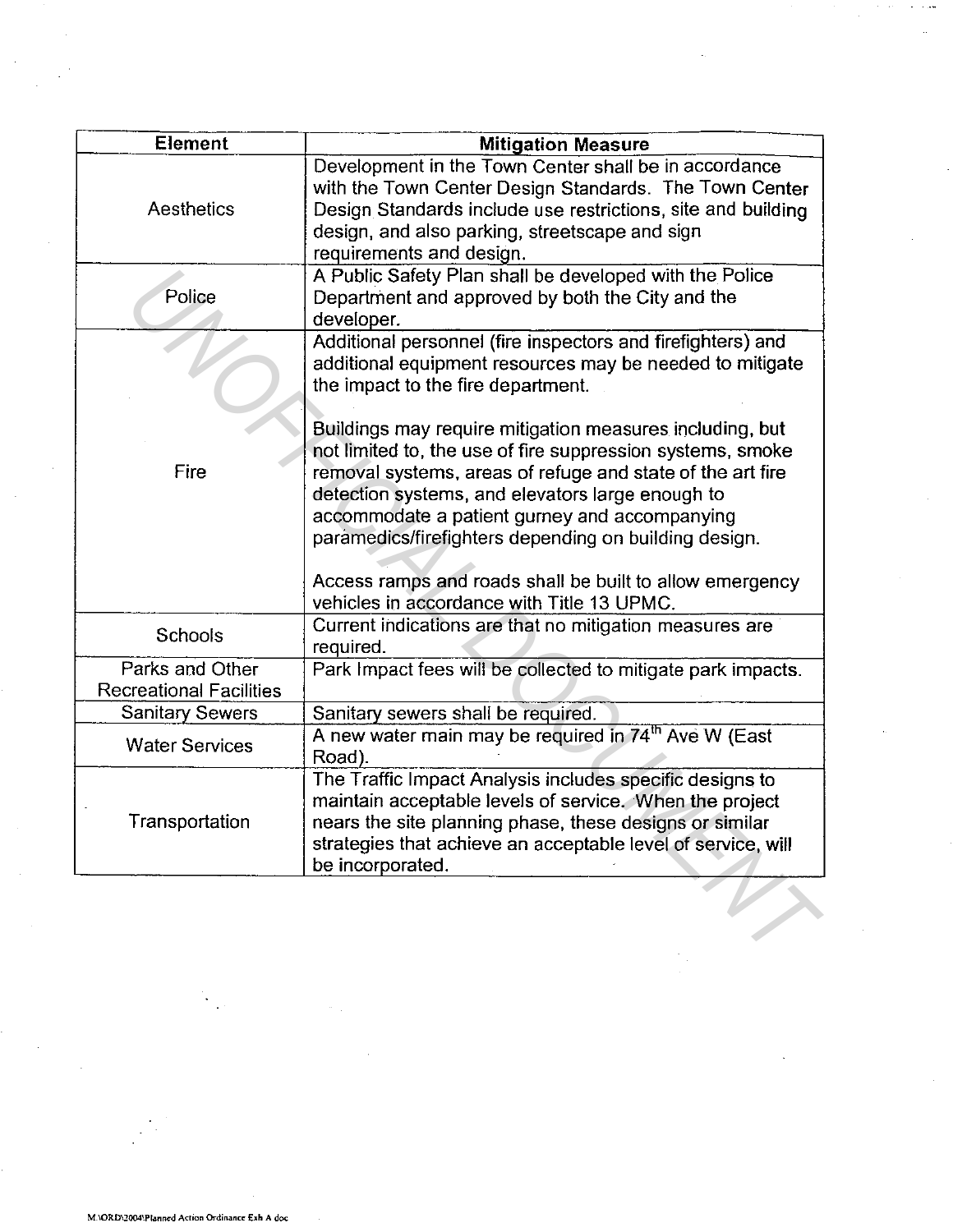| Element                                           | <b>Mitigation Measure</b>                                                                                                                                                                                                                                                                                                                          |
|---------------------------------------------------|----------------------------------------------------------------------------------------------------------------------------------------------------------------------------------------------------------------------------------------------------------------------------------------------------------------------------------------------------|
| Aesthetics                                        | Development in the Town Center shall be in accordance<br>with the Town Center Design Standards. The Town Center<br>Design Standards include use restrictions, site and building<br>design, and also parking, streetscape and sign<br>requirements and design.                                                                                      |
| Police                                            | A Public Safety Plan shall be developed with the Police<br>Department and approved by both the City and the<br>developer.                                                                                                                                                                                                                          |
|                                                   | Additional personnel (fire inspectors and firefighters) and<br>additional equipment resources may be needed to mitigate<br>the impact to the fire department.                                                                                                                                                                                      |
| Fire                                              | Buildings may require mitigation measures including, but<br>not limited to, the use of fire suppression systems, smoke<br>removal systems, areas of refuge and state of the art fire<br>detection systems, and elevators large enough to<br>accommodate a patient gurney and accompanying<br>paramedics/firefighters depending on building design. |
|                                                   | Access ramps and roads shall be built to allow emergency<br>vehicles in accordance with Title 13 UPMC.                                                                                                                                                                                                                                             |
| Schools                                           | Current indications are that no mitigation measures are<br>required.                                                                                                                                                                                                                                                                               |
| Parks and Other<br><b>Recreational Facilities</b> | Park Impact fees will be collected to mitigate park impacts.                                                                                                                                                                                                                                                                                       |
| <b>Sanitary Sewers</b>                            | Sanitary sewers shall be required.                                                                                                                                                                                                                                                                                                                 |
| <b>Water Services</b>                             | A new water main may be required in 74 <sup>th</sup> Ave W (East<br>Road).                                                                                                                                                                                                                                                                         |
| Transportation                                    | The Traffic Impact Analysis includes specific designs to<br>maintain acceptable levels of service. When the project<br>nears the site planning phase, these designs or similar<br>strategies that achieve an acceptable level of service, will<br>be incorporated.                                                                                 |
|                                                   |                                                                                                                                                                                                                                                                                                                                                    |